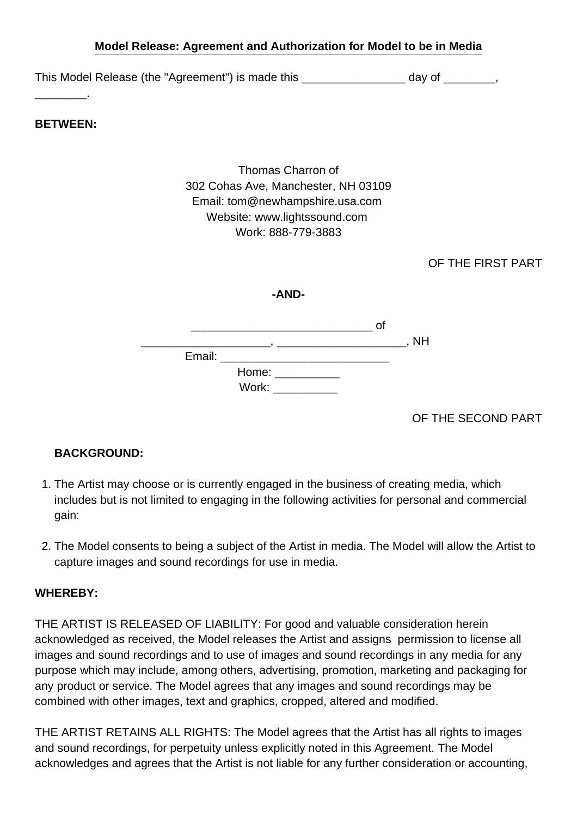## **Model Release: Agreement and Authorization for Model to be in Media**

This Model Release (the "Agreement") is made this \_\_\_\_\_\_\_\_\_\_\_\_\_\_\_\_\_\_\_\_\_ day of \_\_\_\_\_\_\_\_,

**BETWEEN:**

\_\_\_\_\_\_\_\_.

Thomas Charron of 302 Cohas Ave, Manchester, NH 03109 Email: tom@newhampshire.usa.com Website: www.lightssound.com Work: 888-779-3883

OF THE FIRST PART

|        |                                              | റി |           |
|--------|----------------------------------------------|----|-----------|
|        |                                              |    | <b>NH</b> |
| Email: |                                              |    |           |
|        | Home: North Money Street, North Street, 1980 |    |           |
|        | Work:                                        |    |           |

OF THE SECOND PART

## **BACKGROUND:**

- 1. The Artist may choose or is currently engaged in the business of creating media, which includes but is not limited to engaging in the following activities for personal and commercial gain:
- 2. The Model consents to being a subject of the Artist in media. The Model will allow the Artist to capture images and sound recordings for use in media.

## **WHEREBY:**

THE ARTIST IS RELEASED OF LIABILITY: For good and valuable consideration herein acknowledged as received, the Model releases the Artist and assigns permission to license all images and sound recordings and to use of images and sound recordings in any media for any purpose which may include, among others, advertising, promotion, marketing and packaging for any product or service. The Model agrees that any images and sound recordings may be combined with other images, text and graphics, cropped, altered and modified.

THE ARTIST RETAINS ALL RIGHTS: The Model agrees that the Artist has all rights to images and sound recordings, for perpetuity unless explicitly noted in this Agreement. The Model acknowledges and agrees that the Artist is not liable for any further consideration or accounting,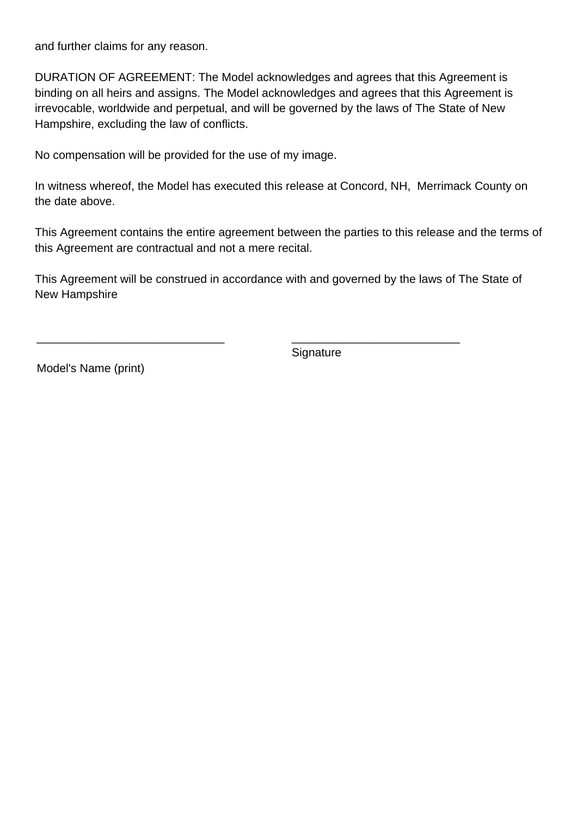and further claims for any reason.

DURATION OF AGREEMENT: The Model acknowledges and agrees that this Agreement is binding on all heirs and assigns. The Model acknowledges and agrees that this Agreement is irrevocable, worldwide and perpetual, and will be governed by the laws of The State of New Hampshire, excluding the law of conflicts.

No compensation will be provided for the use of my image.

In witness whereof, the Model has executed this release at Concord, NH, Merrimack County on the date above.

This Agreement contains the entire agreement between the parties to this release and the terms of this Agreement are contractual and not a mere recital.

This Agreement will be construed in accordance with and governed by the laws of The State of New Hampshire

**Signature** 

\_\_\_\_\_\_\_\_\_\_\_\_\_\_\_\_\_\_\_\_\_\_\_\_\_\_

Model's Name (print)

\_\_\_\_\_\_\_\_\_\_\_\_\_\_\_\_\_\_\_\_\_\_\_\_\_\_\_\_\_